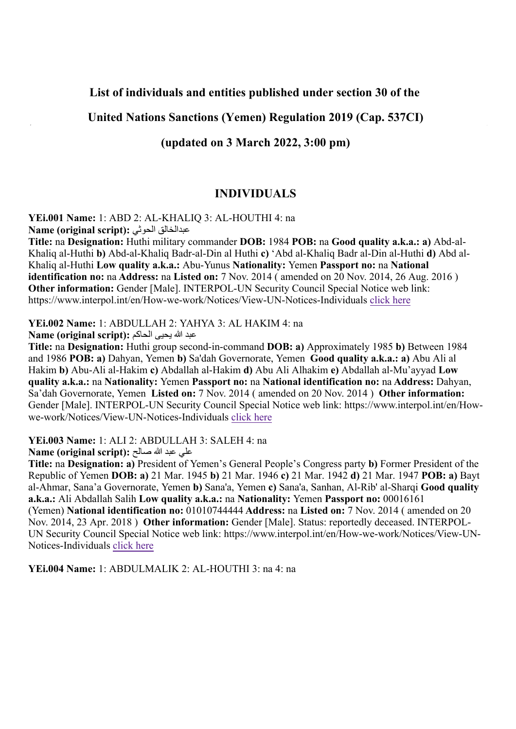# **List of individuals and entities published under section 30 of the**

# **United Nations Sanctions (Yemen) Regulation 2019 (Cap. 537CI)**

# **(updated on 3 March 2022, 3:00 pm)**

# **INDIVIDUALS**

**YEi.001 Name:** 1: ABD 2: AL-KHALIQ 3: AL-HOUTHI 4: na **Name (original script):** الحوثي عبدالخالق

**Title:** na **Designation:** Huthi military commander **DOB:** 1984 **POB:** na **Good quality a.k.a.: a)** Abd-al-Khaliq al-Huthi **b)** Abd-al-Khaliq Badr-al-Din al Huthi **c)** 'Abd al-Khaliq Badr al-Din al-Huthi **d)** Abd al-Khaliq al-Huthi **Low quality a.k.a.:** Abu-Yunus **Nationality:** Yemen **Passport no:** na **National identification no:** na **Address:** na **Listed on:** 7 Nov. 2014 ( amended on 20 Nov. 2014, 26 Aug. 2016 ) **Other information:** Gender [Male]. INTERPOL-UN Security Council Special Notice web link: https://www.interpol.int/en/How-we-work/Notices/View-UN-Notices-Individuals [click here](https://www.interpol.int/en/How-we-work/Notices/View-UN-Notices-Individuals)

#### **YEi.002 Name:** 1: ABDULLAH 2: YAHYA 3: AL HAKIM 4: na

عبد الله یحیى الحاكم **:(script original (Name**

**Title:** na **Designation:** Huthi group second-in-command **DOB: a)** Approximately 1985 **b)** Between 1984 and 1986 **POB: a)** Dahyan, Yemen **b)** Sa'dah Governorate, Yemen **Good quality a.k.a.: a)** Abu Ali al Hakim **b)** Abu-Ali al-Hakim **c)** Abdallah al-Hakim **d)** Abu Ali Alhakim **e)** Abdallah al-Mu'ayyad **Low quality a.k.a.:** na **Nationality:** Yemen **Passport no:** na **National identification no:** na **Address:** Dahyan, Sa'dah Governorate, Yemen **Listed on:** 7 Nov. 2014 ( amended on 20 Nov. 2014 ) **Other information:** Gender [Male]. INTERPOL-UN Security Council Special Notice web link: https://www.interpol.int/en/Howwe-work/Notices/View-UN-Notices-Individuals [click here](https://www.interpol.int/en/How-we-work/Notices/View-UN-Notices-Individuals)

**YEi.003 Name:** 1: ALI 2: ABDULLAH 3: SALEH 4: na

علي عبد الله صالح **:(script original (Name**

**Title:** na **Designation: a)** President of Yemen's General People's Congress party **b)** Former President of the Republic of Yemen **DOB: a)** 21 Mar. 1945 **b)** 21 Mar. 1946 **c)** 21 Mar. 1942 **d)** 21 Mar. 1947 **POB: a)** Bayt al-Ahmar, Sana'a Governorate, Yemen **b)** Sana'a, Yemen **c)** Sana'a, Sanhan, Al-Rib' al-Sharqi **Good quality a.k.a.:** Ali Abdallah Salih **Low quality a.k.a.:** na **Nationality:** Yemen **Passport no:** 00016161 (Yemen) **National identification no:** 01010744444 **Address:** na **Listed on:** 7 Nov. 2014 ( amended on 20 Nov. 2014, 23 Apr. 2018 ) **Other information:** Gender [Male]. Status: reportedly deceased. INTERPOL-UN Security Council Special Notice web link: https://www.interpol.int/en/How-we-work/Notices/View-UN-Notices-Individuals [click here](https://www.interpol.int/en/How-we-work/Notices/View-UN-Notices-Individuals)

**YEi.004 Name:** 1: ABDULMALIK 2: AL-HOUTHI 3: na 4: na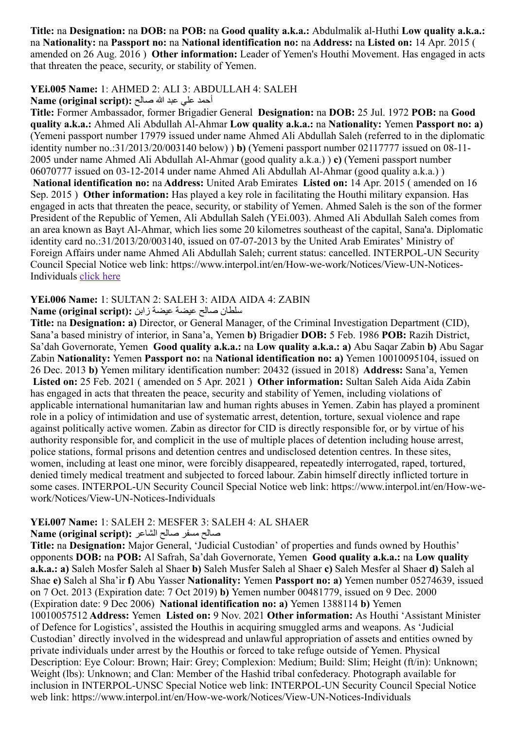**Title:** na **Designation:** na **DOB:** na **POB:** na **Good quality a.k.a.:** Abdulmalik al-Huthi **Low quality a.k.a.:** na **Nationality:** na **Passport no:** na **National identification no:** na **Address:** na **Listed on:** 14 Apr. 2015 ( amended on 26 Aug. 2016 ) **Other information:** Leader of Yemen's Houthi Movement. Has engaged in acts that threaten the peace, security, or stability of Yemen.

### **YEi.005 Name:** 1: AHMED 2: ALI 3: ABDULLAH 4: SALEH

#### أحمد علي عبد هللا صالح **:(script original (Name**

**Title:** Former Ambassador, former Brigadier General **Designation:** na **DOB:** 25 Jul. 1972 **POB:** na **Good quality a.k.a.:** Ahmed Ali Abdullah Al-Ahmar **Low quality a.k.a.:** na **Nationality:** Yemen **Passport no: a)** (Yemeni passport number 17979 issued under name Ahmed Ali Abdullah Saleh (referred to in the diplomatic identity number no.:31/2013/20/003140 below) ) **b)** (Yemeni passport number 02117777 issued on 08-11- 2005 under name Ahmed Ali Abdullah Al-Ahmar (good quality a.k.a.) ) **c)** (Yemeni passport number 06070777 issued on 03-12-2014 under name Ahmed Ali Abdullah Al-Ahmar (good quality a.k.a.) ) **National identification no:** na **Address:** United Arab Emirates **Listed on:** 14 Apr. 2015 ( amended on 16 Sep. 2015 ) **Other information:** Has played a key role in facilitating the Houthi military expansion. Has engaged in acts that threaten the peace, security, or stability of Yemen. Ahmed Saleh is the son of the former President of the Republic of Yemen, Ali Abdullah Saleh (YEi.003). Ahmed Ali Abdullah Saleh comes from an area known as Bayt Al-Ahmar, which lies some 20 kilometres southeast of the capital, Sana'a. Diplomatic identity card no.:31/2013/20/003140, issued on 07-07-2013 by the United Arab Emirates' Ministry of Foreign Affairs under name Ahmed Ali Abdullah Saleh; current status: cancelled. INTERPOL-UN Security Council Special Notice web link: https://www.interpol.int/en/How-we-work/Notices/View-UN-Notices-Individuals [click here](https://www.interpol.int/en/How-we-work/Notices/View-UN-Notices-Individuals)

# **YEi.006 Name:** 1: SULTAN 2: SALEH 3: AIDA AIDA 4: ZABIN

سلطان صالح عيضة عيضة زابن **:(script original (Name**

**Title:** na **Designation: a)** Director, or General Manager, of the Criminal Investigation Department (CID), Sana'a based ministry of interior, in Sana'a, Yemen **b)** Brigadier **DOB:** 5 Feb. 1986 **POB:** Razih District, Sa'dah Governorate, Yemen **Good quality a.k.a.:** na **Low quality a.k.a.: a)** Abu Saqar Zabin **b)** Abu Sagar Zabin **Nationality:** Yemen **Passport no:** na **National identification no: a)** Yemen 10010095104, issued on 26 Dec. 2013 **b)** Yemen military identification number: 20432 (issued in 2018) **Address:** Sana'a, Yemen **Listed on:** 25 Feb. 2021 ( amended on 5 Apr. 2021 ) **Other information:** Sultan Saleh Aida Aida Zabin has engaged in acts that threaten the peace, security and stability of Yemen, including violations of applicable international humanitarian law and human rights abuses in Yemen. Zabin has played a prominent role in a policy of intimidation and use of systematic arrest, detention, torture, sexual violence and rape against politically active women. Zabin as director for CID is directly responsible for, or by virtue of his authority responsible for, and complicit in the use of multiple places of detention including house arrest, police stations, formal prisons and detention centres and undisclosed detention centres. In these sites, women, including at least one minor, were forcibly disappeared, repeatedly interrogated, raped, tortured, denied timely medical treatment and subjected to forced labour. Zabin himself directly inflicted torture in some cases. INTERPOL-UN Security Council Special Notice web link: https://www.interpol.int/en/How-wework/Notices/View-UN-Notices-Individuals

#### **YEi.007 Name:** 1: SALEH 2: MESFER 3: SALEH 4: AL SHAER

#### صالح مسفر صالح الشاعر **:(script original (Name**

**Title:** na **Designation:** Major General, 'Judicial Custodian' of properties and funds owned by Houthis' opponents **DOB:** na **POB:** Al Safrah, Sa'dah Governorate, Yemen **Good quality a.k.a.:** na **Low quality a.k.a.: a)** Saleh Mosfer Saleh al Shaer **b)** Saleh Musfer Saleh al Shaer **c)** Saleh Mesfer al Shaer **d)** Saleh al Shae **e)** Saleh al Sha'ir **f)** Abu Yasser **Nationality:** Yemen **Passport no: a)** Yemen number 05274639, issued on 7 Oct. 2013 (Expiration date: 7 Oct 2019) **b)** Yemen number 00481779, issued on 9 Dec. 2000 (Expiration date: 9 Dec 2006) **National identification no: a)** Yemen 1388114 **b)** Yemen 10010057512 **Address:** Yemen **Listed on:** 9 Nov. 2021 **Other information:** As Houthi 'Assistant Minister of Defence for Logistics', assisted the Houthis in acquiring smuggled arms and weapons. As 'Judicial Custodian' directly involved in the widespread and unlawful appropriation of assets and entities owned by private individuals under arrest by the Houthis or forced to take refuge outside of Yemen. Physical Description: Eye Colour: Brown; Hair: Grey; Complexion: Medium; Build: Slim; Height (ft/in): Unknown; Weight (lbs): Unknown; and Clan: Member of the Hashid tribal confederacy. Photograph available for inclusion in INTERPOL-UNSC Special Notice web link: INTERPOL-UN Security Council Special Notice web link: https://www.interpol.int/en/How-we-work/Notices/View-UN-Notices-Individuals